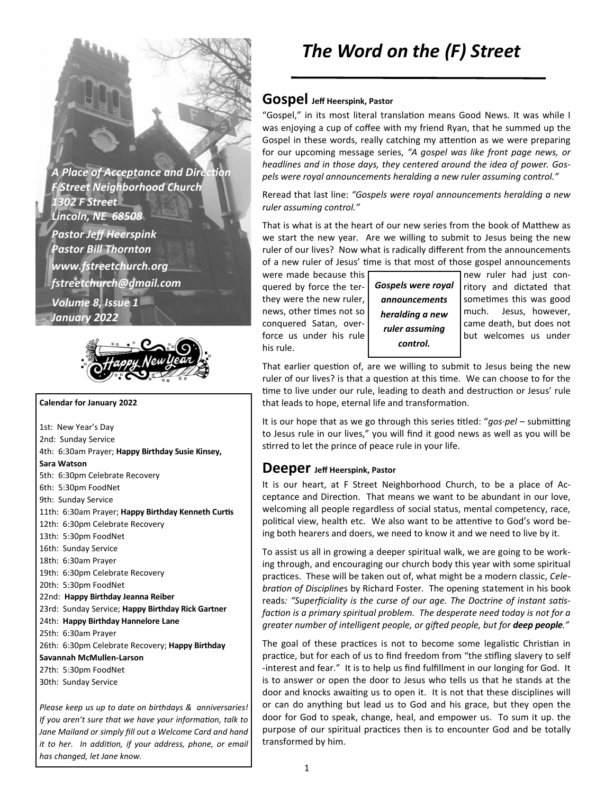**A Place of Acceptance and Direction** *F Street Neighborhood Church 1302 F Street Lincoln, NE 68508 Pastor Jeff Heerspink Pastor Bill Thornton www.fstreetchurch.org fstreetchurch@gmail.com Volume 8, Issue 1 January 2022* 



#### **Calendar for January 2022**

1st: New Year's Day 2nd: Sunday Service 4th: 6:30am Prayer; **Happy Birthday Susie Kinsey, Sara Watson**  5th: 6:30pm Celebrate Recovery 6th: 5:30pm FoodNet 9th: Sunday Service 11th: 6:30am Prayer; Happy Birthday Kenneth Curtis 12th: 6:30pm Celebrate Recovery 13th: 5:30pm FoodNet 16th: Sunday Service 18th: 6:30am Prayer 19th: 6:30pm Celebrate Recovery 20th: 5:30pm FoodNet 22nd: **Happy Birthday Jeanna Reiber**  23rd: Sunday Service; **Happy Birthday Rick Gartner**  24th: **Happy Birthday Hannelore Lane**  25th: 6:30am Prayer 26th: 6:30pm Celebrate Recovery; **Happy Birthday Savannah McMullen-Larson**  27th: 5:30pm FoodNet 30th: Sunday Service

*Please keep us up to date on birthdays & anniversaries! If you aren't sure that we have your information, talk to Jane Mailand or simply fill out a Welcome Card and hand it to her. In addition, if your address, phone, or email has changed, let Jane know.* 

# *The Word on the (F) Street*

### **Gospel Jeff Heerspink, Pastor**

"Gospel," in its most literal translation means Good News. It was while I was enjoying a cup of coffee with my friend Ryan, that he summed up the Gospel in these words, really catching my attention as we were preparing. for our upcoming message series, *"A gospel was like front page news, or headlines and in those days, they centered around the idea of power. Gospels were royal announcements heralding a new ruler assuming control."* 

Reread that last line: *"Gospels were royal announcements heralding a new ruler assuming control."* 

That is what is at the heart of our new series from the book of Matthew as we start the new year. Are we willing to submit to Jesus being the new ruler of our lives? Now what is radically different from the announcements of a new ruler of Jesus' time is that most of those gospel announcements

were made because this quered by force the ter-  $\int$  Gospels were royal  $\int$  ritory and dictated that they were the new ruler,  $\vert$  announcements sometimes this was good news, other times not so  $\int$  **heralding a new**  $\int$  much. Jesus, however, conquered Satan, over- came death, but does not force us under his rule  $\begin{bmatrix} \text{runc} \\ \text{dissuming} \\ \text{but welcomes} \text{us under} \end{bmatrix}$ his rule.

*Gospels were royal announcements heralding a new ruler assuming control.* 

That earlier question of, are we willing to submit to Jesus being the new ruler of our lives? is that a question at this time. We can choose to for the time to live under our rule, leading to death and destruction or Jesus' rule that leads to hope, eternal life and transformation.

It is our hope that as we go through this series titled: " $qos$ -pel – submitting to Jesus rule in our lives," you will find it good news as well as you will be stirred to let the prince of peace rule in your life.

#### **Deeper Jeff Heerspink, Pastor**

It is our heart, at F Street Neighborhood Church, to be a place of Acceptance and Direction. That means we want to be abundant in our love, welcoming all people regardless of social status, mental competency, race, political view, health etc. We also want to be attentive to God's word being both hearers and doers, we need to know it and we need to live by it.

To assist us all in growing a deeper spiritual walk, we are going to be working through, and encouraging our church body this year with some spiritual practices. These will be taken out of, what might be a modern classic, Cele*bration of Disciplines* by Richard Foster. The opening statement in his book reads: "Superficiality is the curse of our age. The Doctrine of instant satisfaction is a primary spiritual problem. The desperate need today is not for a *greater number of intelligent people, or gi/ed people, but for deep people."*

The goal of these practices is not to become some legalistic Christian in practice, but for each of us to find freedom from "the stifling slavery to self -interest and fear." It is to help us find fulfillment in our longing for God. It is to answer or open the door to Jesus who tells us that he stands at the door and knocks awaiting us to open it. It is not that these disciplines will or can do anything but lead us to God and his grace, but they open the door for God to speak, change, heal, and empower us. To sum it up. the purpose of our spiritual practices then is to encounter God and be totally transformed by him.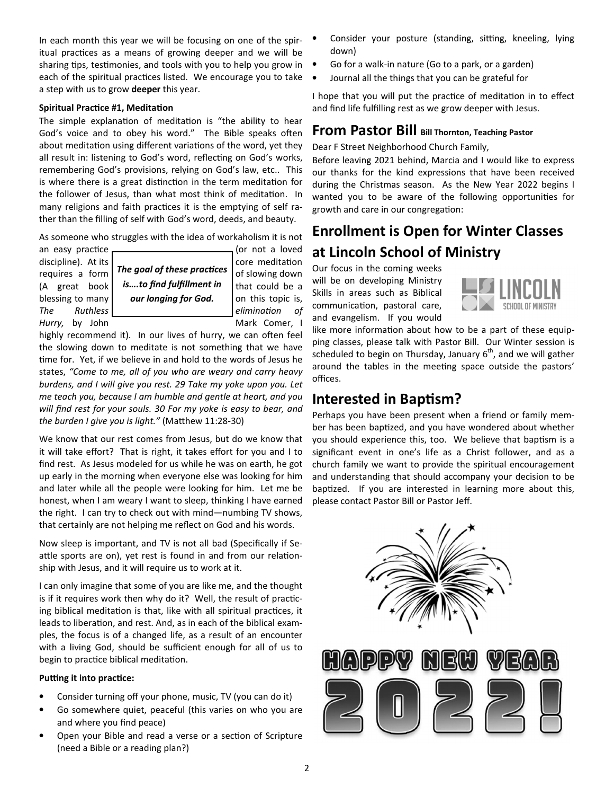In each month this year we will be focusing on one of the spiritual practices as a means of growing deeper and we will be sharing tips, testimonies, and tools with you to help you grow in each of the spiritual practices listed. We encourage you to take a step with us to grow **deeper** this year.

#### **Spiritual Practice #1, Meditation**

The simple explanation of meditation is "the ability to hear God's voice and to obey his word." The Bible speaks often about meditation using different variations of the word, yet they all result in: listening to God's word, reflecting on God's works, remembering God's provisions, relying on God's law, etc.. This is where there is a great distinction in the term meditation for the follower of Jesus, than what most think of meditation. In many religions and faith practices it is the emptying of self rather than the filling of self with God's word, deeds, and beauty.

As someone who struggles with the idea of workaholism it is not

an easy prac.ce (or not a loved *Hurry*, by John Mark Comer, I

 $discpline$ ). At its  $|$  core meditation requires a form | The goal of these practices | of slowing down  $(A \text{ great book} \mid \text{is}...$ to find fulfillment in  $\text{ that could be a}$ blessing to many **our longing for God. o**n this topic is, *The* Ruthless **end elimination** of **The goal of these practices** 

highly recommend it). In our lives of hurry, we can often feel the slowing down to meditate is not something that we have time for. Yet, if we believe in and hold to the words of Jesus he states, *"Come to me, all of you who are weary and carry heavy burdens, and I will give you rest. 29 Take my yoke upon you. Let me teach you, because I am humble and gentle at heart, and you will find rest for your souls. 30 For my yoke is easy to bear, and the burden I give you is light."* (Matthew 11:28-30)

We know that our rest comes from Jesus, but do we know that it will take effort? That is right, it takes effort for you and I to find rest. As Jesus modeled for us while he was on earth, he got up early in the morning when everyone else was looking for him and later while all the people were looking for him. Let me be honest, when I am weary I want to sleep, thinking I have earned the right. I can try to check out with mind—numbing TV shows, that certainly are not helping me reflect on God and his words.

Now sleep is important, and TV is not all bad (Specifically if Seattle sports are on), yet rest is found in and from our relationship with Jesus, and it will require us to work at it.

I can only imagine that some of you are like me, and the thought is if it requires work then why do it? Well, the result of practicing biblical meditation is that, like with all spiritual practices, it leads to liberation, and rest. And, as in each of the biblical examples, the focus is of a changed life, as a result of an encounter with a living God, should be sufficient enough for all of us to begin to practice biblical meditation.

#### **Putting it into practice:**

- Consider turning off your phone, music, TV (you can do it)
- Go somewhere quiet, peaceful (this varies on who you are and where you find peace)
- Open your Bible and read a verse or a section of Scripture (need a Bible or a reading plan?)
- Consider your posture (standing, sitting, kneeling, lying down)
- Go for a walk-in nature (Go to a park, or a garden)
- Journal all the things that you can be grateful for

I hope that you will put the practice of meditation in to effect and find life fulfilling rest as we grow deeper with Jesus.

### **From Pastor Bill Bill Thornton, Teaching Pastor**

Dear F Street Neighborhood Church Family,

Before leaving 2021 behind, Marcia and I would like to express our thanks for the kind expressions that have been received during the Christmas season. As the New Year 2022 begins I wanted you to be aware of the following opportunities for growth and care in our congregation:

## **Enrollment is Open for Winter Classes at Lincoln School of Ministry**

Our focus in the coming weeks will be on developing Ministry Skills in areas such as Biblical communication, pastoral care, and evangelism. If you would



like more information about how to be a part of these equipping classes, please talk with Pastor Bill. Our Winter session is scheduled to begin on Thursday, January  $6<sup>th</sup>$ , and we will gather around the tables in the meeting space outside the pastors' offices.

### **Interested in Baptism?**

Perhaps you have been present when a friend or family member has been baptized, and you have wondered about whether you should experience this, too. We believe that baptism is a significant event in one's life as a Christ follower, and as a church family we want to provide the spiritual encouragement and understanding that should accompany your decision to be baptized. If you are interested in learning more about this, please contact Pastor Bill or Pastor Jeff.

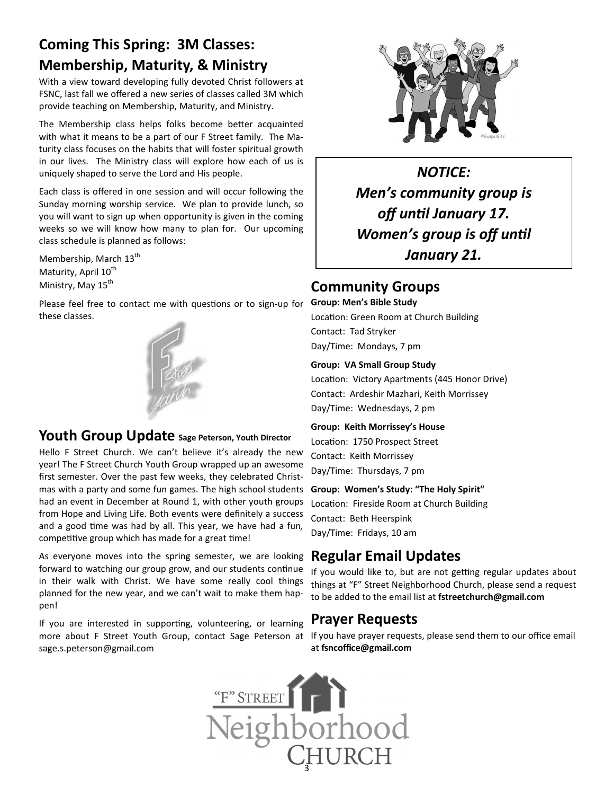## **Coming This Spring: 3M Classes: Membership, Maturity, & Ministry**

With a view toward developing fully devoted Christ followers at FSNC, last fall we offered a new series of classes called 3M which provide teaching on Membership, Maturity, and Ministry.

The Membership class helps folks become better acquainted with what it means to be a part of our F Street family. The Maturity class focuses on the habits that will foster spiritual growth in our lives. The Ministry class will explore how each of us is uniquely shaped to serve the Lord and His people.

Each class is offered in one session and will occur following the Sunday morning worship service. We plan to provide lunch, so you will want to sign up when opportunity is given in the coming weeks so we will know how many to plan for. Our upcoming class schedule is planned as follows:

Membership, March 13<sup>th</sup> Maturity, April 10<sup>th</sup> Ministry, May 15<sup>th</sup>

Please feel free to contact me with questions or to sign-up for these classes.



### **Youth Group Update Sage Peterson, Youth Director**

Hello F Street Church. We can't believe it's already the new year! The F Street Church Youth Group wrapped up an awesome first semester. Over the past few weeks, they celebrated Christmas with a party and some fun games. The high school students had an event in December at Round 1, with other youth groups from Hope and Living Life. Both events were definitely a success and a good time was had by all. This year, we have had a fun, competitive group which has made for a great time!

As everyone moves into the spring semester, we are looking forward to watching our group grow, and our students continue in their walk with Christ. We have some really cool things planned for the new year, and we can't wait to make them happen!

If you are interested in supporting, volunteering, or learning more about F Street Youth Group, contact Sage Peterson at sage.s.peterson@gmail.com



*NOTICE: Men's community group is*  off until January 17. **Women's group is off until** *January 21.* 

### **Community Groups**

**Group: Men's Bible Study**  Location: Green Room at Church Building Contact: Tad Stryker

Day/Time: Mondays, 7 pm

#### **Group: VA Small Group Study**

Location: Victory Apartments (445 Honor Drive) Contact: Ardeshir Mazhari, Keith Morrissey Day/Time: Wednesdays, 2 pm

#### **Group: Keith Morrissey's House**

Location: 1750 Prospect Street Contact: Keith Morrissey Day/Time: Thursdays, 7 pm

#### **Group: Women's Study: "The Holy Spirit"**

Location: Fireside Room at Church Building Contact: Beth Heerspink Day/Time: Fridays, 10 am

## **Regular Email Updates**

If you would like to, but are not getting regular updates about things at "F" Street Neighborhood Church, please send a request to be added to the email list at **fstreetchurch@gmail.com**

### **Prayer Requests**

If you have prayer requests, please send them to our office email at **fsncoffice@gmail.com**